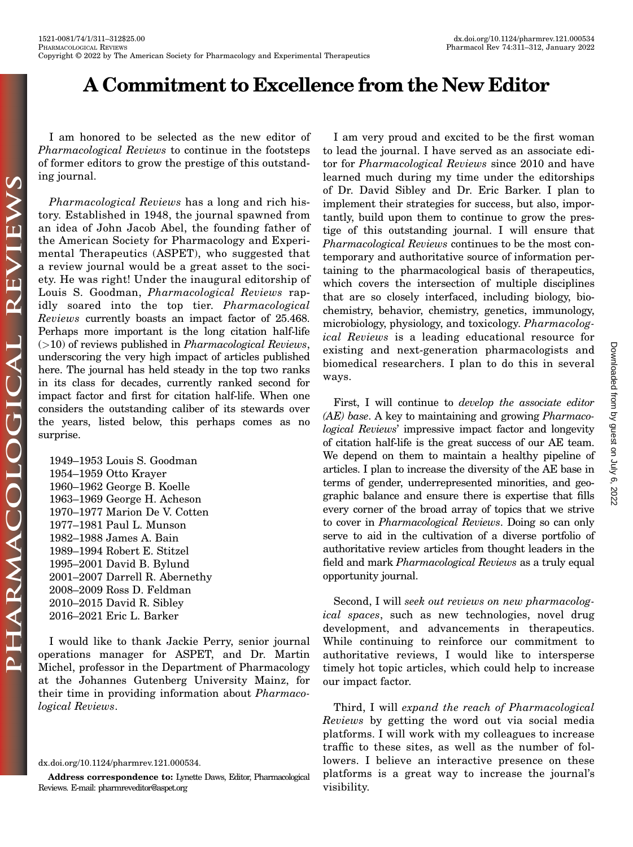## A Commitment to Excellence from the New Editor :

I am honored to be selected as the new editor of Pharmacological Reviews to continue in the footsteps of former editors to grow the prestige of this outstanding journal.

Pharmacological Reviews has a long and rich history. Established in 1948, the journal spawned from an idea of John Jacob Abel, the founding father of the American Society for Pharmacology and Experimental Therapeutics (ASPET), who suggested that a review journal would be a great asset to the society. He was right! Under the inaugural editorship of Louis S. Goodman, Pharmacological Reviews rapidly soared into the top tier. Pharmacological Reviews currently boasts an impact factor of 25.468. Perhaps more important is the long citation half-life  $(>10)$  of reviews published in *Pharmacological Reviews*, underscoring the very high impact of articles published here. The journal has held steady in the top two ranks in its class for decades, currently ranked second for impact factor and first for citation half-life. When one considers the outstanding caliber of its stewards over the years, listed below, this perhaps comes as no surprise.

1949–1953 Louis S. Goodman 1954–1959 Otto Krayer 1960–1962 George B. Koelle 1963–1969 George H. Acheson 1970–1977 Marion De V. Cotten 1977–1981 Paul L. Munson 1982–1988 James A. Bain 1989–1994 Robert E. Stitzel 1995–2001 David B. Bylund 2001–2007 Darrell R. Abernethy 2008–2009 Ross D. Feldman 2010–2015 David R. Sibley 2016–2021 Eric L. Barker

I would like to thank Jackie Perry, senior journal operations manager for ASPET, and Dr. Martin Michel, professor in the Department of Pharmacology at the Johannes Gutenberg University Mainz, for their time in providing information about Pharmacological Reviews.

[dx.doi.org/10.1124/pharmrev.121.000534.](dx.doi.org/10.1124/pharmrev.121.000534)

Address correspondence to: Lynette Daws, Editor, Pharmacological Reviews. E-mail: [pharmreveditor@aspet.org](mailto:pharmreveditor@aspet.org)

I am very proud and excited to be the first woman to lead the journal. I have served as an associate editor for Pharmacological Reviews since 2010 and have learned much during my time under the editorships of Dr. David Sibley and Dr. Eric Barker. I plan to implement their strategies for success, but also, importantly, build upon them to continue to grow the prestige of this outstanding journal. I will ensure that Pharmacological Reviews continues to be the most contemporary and authoritative source of information pertaining to the pharmacological basis of therapeutics, which covers the intersection of multiple disciplines that are so closely interfaced, including biology, biochemistry, behavior, chemistry, genetics, immunology, microbiology, physiology, and toxicology. Pharmacological Reviews is a leading educational resource for existing and next-generation pharmacologists and biomedical researchers. I plan to do this in several ways.

First, I will continue to develop the associate editor (AE) base. A key to maintaining and growing Pharmacological Reviews' impressive impact factor and longevity of citation half-life is the great success of our AE team. We depend on them to maintain a healthy pipeline of articles. I plan to increase the diversity of the AE base in terms of gender, underrepresented minorities, and geographic balance and ensure there is expertise that fills every corner of the broad array of topics that we strive to cover in Pharmacological Reviews. Doing so can only serve to aid in the cultivation of a diverse portfolio of authoritative review articles from thought leaders in the field and mark Pharmacological Reviews as a truly equal opportunity journal.

Second, I will seek out reviews on new pharmacological spaces, such as new technologies, novel drug development, and advancements in therapeutics. While continuing to reinforce our commitment to authoritative reviews, I would like to intersperse timely hot topic articles, which could help to increase our impact factor.

Third, I will expand the reach of Pharmacological Reviews by getting the word out via social media platforms. I will work with my colleagues to increase traffic to these sites, as well as the number of followers. I believe an interactive presence on these platforms is a great way to increase the journal's visibility.